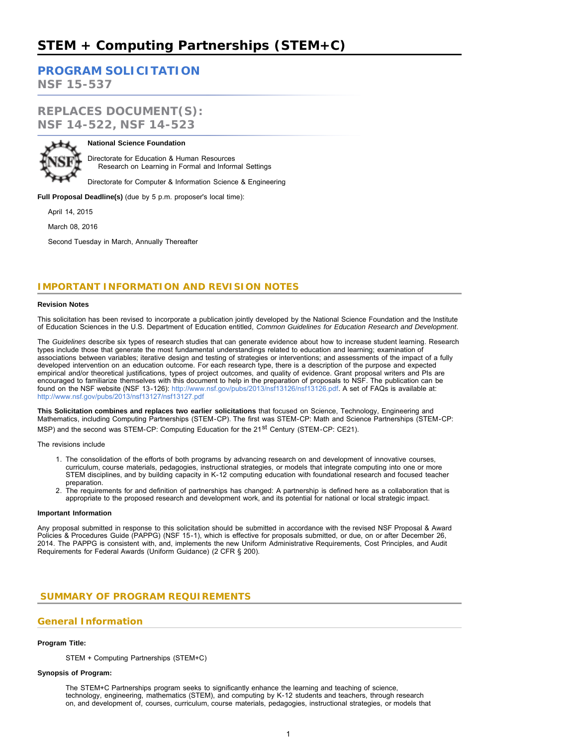**[PROGRAM SOLICITATION](#page-2-0)**

**NSF 15-537**

# **REPLACES DOCUMENT(S): NSF 14-522, NSF 14-523**



### **National Science Foundation**

Directorate for Education & Human Resources Research on Learning in Formal and Informal Settings

Directorate for Computer & Information Science & Engineering

**Full Proposal Deadline(s)** (due by 5 p.m. proposer's local time):

April 14, 2015

March 08, 2016

Second Tuesday in March, Annually Thereafter

## **IMPORTANT INFORMATION AND REVISION NOTES**

#### **Revision Notes**

This solicitation has been revised to incorporate a publication jointly developed by the National Science Foundation and the Institute of Education Sciences in the U.S. Department of Education entitled, *Common Guidelines for Education Research and Development*.

The *Guidelines* describe six types of research studies that can generate evidence about how to increase student learning. Research types include those that generate the most fundamental understandings related to education and learning; examination of associations between variables; iterative design and testing of strategies or interventions; and assessments of the impact of a fully developed intervention on an education outcome. For each research type, there is a description of the purpose and expected empirical and/or theoretical justifications, types of project outcomes, and quality of evidence. Grant proposal writers and PIs are encouraged to familiarize themselves with this document to help in the preparation of proposals to NSF. The publication can be found on the NSF website (NSF 13-126):<http://www.nsf.gov/pubs/2013/nsf13126/nsf13126.pdf>. A set of FAQs is available at: <http://www.nsf.gov/pubs/2013/nsf13127/nsf13127.pdf>

**This Solicitation combines and replaces two earlier solicitations** that focused on Science, Technology, Engineering and Mathematics, including Computing Partnerships (STEM-CP). The first was STEM-CP: Math and Science Partnerships (STEM-CP: MSP) and the second was STEM-CP: Computing Education for the 21<sup>st</sup> Century (STEM-CP: CE21).

The revisions include

- 1. The consolidation of the efforts of both programs by advancing research on and development of innovative courses, curriculum, course materials, pedagogies, instructional strategies, or models that integrate computing into one or more STEM disciplines, and by building capacity in K-12 computing education with foundational research and focused teacher preparation.
- 2. The requirements for and definition of partnerships has changed: A partnership is defined here as a collaboration that is appropriate to the proposed research and development work, and its potential for national or local strategic impact.

### **Important Information**

Any proposal submitted in response to this solicitation should be submitted in accordance with the revised NSF Proposal & Award Policies & Procedures Guide (PAPPG) (NSF 15-1), which is effective for proposals submitted, or due, on or after December 26, 2014. The PAPPG is consistent with, and, implements the new Uniform Administrative Requirements, Cost Principles, and Audit Requirements for Federal Awards (Uniform Guidance) (2 CFR § 200).

# <span id="page-0-0"></span> **SUMMARY OF PROGRAM REQUIREMENTS**

## **General Information**

### **Program Title:**

STEM + Computing Partnerships (STEM+C)

### **Synopsis of Program:**

The STEM+C Partnerships program seeks to significantly enhance the learning and teaching of science, technology, engineering, mathematics (STEM), and computing by K-12 students and teachers, through research on, and development of, courses, curriculum, course materials, pedagogies, instructional strategies, or models that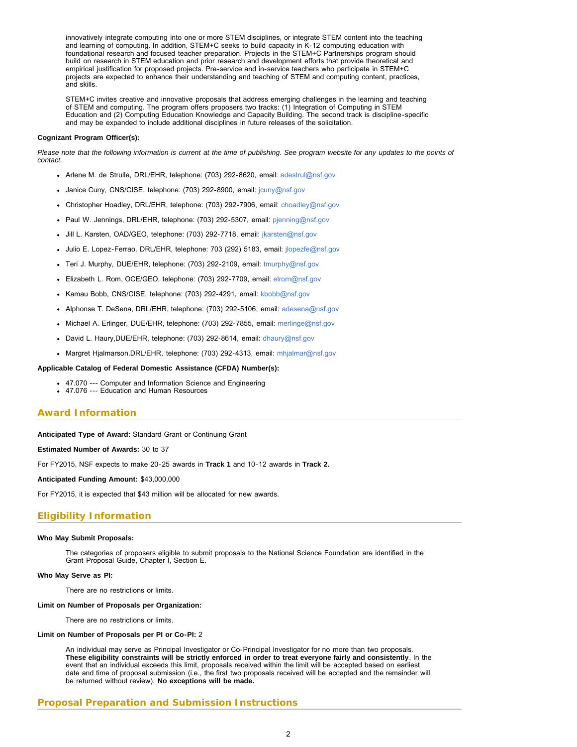innovatively integrate computing into one or more STEM disciplines, or integrate STEM content into the teaching and learning of computing. In addition, STEM+C seeks to build capacity in K-12 computing education with foundational research and focused teacher preparation. Projects in the STEM+C Partnerships program should build on research in STEM education and prior research and development efforts that provide theoretical and empirical justification for proposed projects. Pre-service and in-service teachers who participate in STEM+C projects are expected to enhance their understanding and teaching of STEM and computing content, practices, and skills.

STEM+C invites creative and innovative proposals that address emerging challenges in the learning and teaching of STEM and computing. The program offers proposers two tracks: (1) Integration of Computing in STEM Education and (2) Computing Education Knowledge and Capacity Building. The second track is discipline-specific and may be expanded to include additional disciplines in future releases of the solicitation.

#### **Cognizant Program Officer(s):**

*Please note that the following information is current at the time of publishing. See program website for any updates to the points of contact.*

- Arlene M. de Strulle, DRL/EHR, telephone: (703) 292-8620, email: [adestrul@nsf.gov](mailto:adestrul@nsf.gov)
- Janice Cuny, CNS/CISE, telephone: (703) 292-8900, email: [jcuny@nsf.gov](mailto:jcuny@nsf.gov)
- Christopher Hoadley, DRL/EHR, telephone: (703) 292-7906, email: [choadley@nsf.gov](mailto:choadley@nsf.gov)
- Paul W. Jennings, DRL/EHR, telephone: (703) 292-5307, email: [pjenning@nsf.gov](mailto:pjenning@nsf.gov)
- Jill L. Karsten, OAD/GEO, telephone: (703) 292-7718, email: [jkarsten@nsf.gov](mailto:jkarsten@nsf.gov)
- Julio E. Lopez-Ferrao, DRL/EHR, telephone: 703 (292) 5183, email: [jlopezfe@nsf.gov](mailto:jlopezfe@nsf.gov)
- Teri J. Murphy, DUE/EHR, telephone: (703) 292-2109, email: [tmurphy@nsf.gov](mailto:tmurphy@nsf.gov)
- Elizabeth L. Rom, OCE/GEO, telephone: (703) 292-7709, email: [elrom@nsf.gov](mailto:elrom@nsf.gov)
- Kamau Bobb, CNS/CISE, telephone: (703) 292-4291, email: [kbobb@nsf.gov](mailto:kbobb@nsf.gov)
- Alphonse T. DeSena, DRL/EHR, telephone: (703) 292-5106, email: [adesena@nsf.gov](mailto:adesena@nsf.gov)
- Michael A. Erlinger, DUE/EHR, telephone: (703) 292-7855, email: [merlinge@nsf.gov](mailto:merlinge@nsf.gov)
- David L. Haury,DUE/EHR, telephone: (703) 292-8614, email: [dhaury@nsf.gov](mailto:dhaury@nsf.gov)
- Margret Hjalmarson,DRL/EHR, telephone: (703) 292-4313, email: [mhjalmar@nsf.gov](mailto:mhjalmar@nsf.gov)

#### **Applicable Catalog of Federal Domestic Assistance (CFDA) Number(s):**

- 47.070 --- Computer and Information Science and Engineering
- 47.076 --- Education and Human Resources

## **Award Information**

**Anticipated Type of Award:** Standard Grant or Continuing Grant

**Estimated Number of Awards:** 30 to 37

For FY2015, NSF expects to make 20-25 awards in **Track 1** and 10-12 awards in **Track 2.**

### **Anticipated Funding Amount:** \$43,000,000

For FY2015, it is expected that \$43 million will be allocated for new awards.

## **Eligibility Information**

#### **Who May Submit Proposals:**

The categories of proposers eligible to submit proposals to the National Science Foundation are identified in the Grant Proposal Guide, Chapter I, Section E.

#### **Who May Serve as PI:**

There are no restrictions or limits.

### **Limit on Number of Proposals per Organization:**

There are no restrictions or limits.

#### **Limit on Number of Proposals per PI or Co-PI:** 2

An individual may serve as Principal Investigator or Co-Principal Investigator for no more than two proposals. **These eligibility constraints will be strictly enforced in order to treat everyone fairly and consistently**. In the event that an individual exceeds this limit, proposals received within the limit will be accepted based on earliest date and time of proposal submission (i.e., the first two proposals received will be accepted and the remainder will be returned without review). **No exceptions will be made.**

## **Proposal Preparation and Submission Instructions**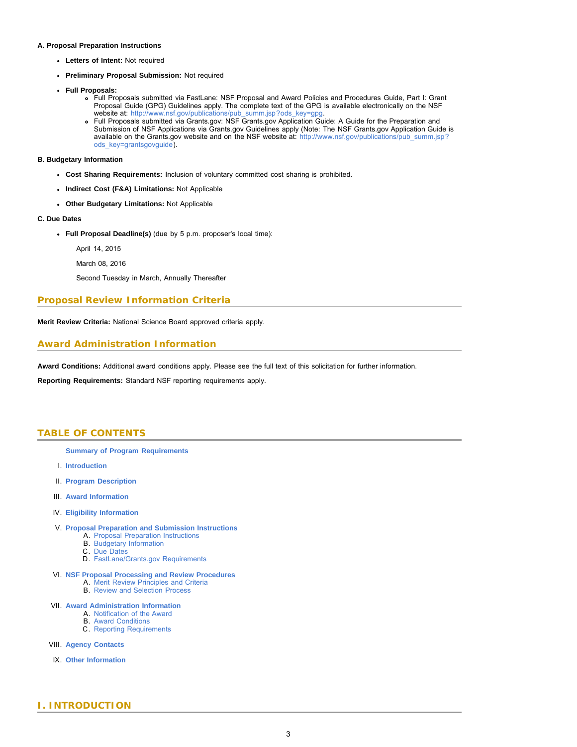### **A. Proposal Preparation Instructions**

- **Letters of Intent:** Not required
- **Preliminary Proposal Submission:** Not required
- **Full Proposals:**
	- Full Proposals submitted via FastLane: NSF Proposal and Award Policies and Procedures Guide, Part I: Grant Proposal Guide (GPG) Guidelines apply. The complete text of the GPG is available electronically on the NSF website at: [http://www.nsf.gov/publications/pub\\_summ.jsp?ods\\_key=gpg.](http://www.nsf.gov/publications/pub_summ.jsp?ods_key=gpg)
	- Full Proposals submitted via Grants.gov: NSF Grants.gov Application Guide: A Guide for the Preparation and Submission of NSF Applications via Grants.gov Guidelines apply (Note: The NSF Grants.gov Application Guide is available on the Grants.gov website and on the NSF website at: [http://www.nsf.gov/publications/pub\\_summ.jsp?](http://www.nsf.gov/publications/pub_summ.jsp?ods_key=grantsgovguide) [ods\\_key=grantsgovguide\)](http://www.nsf.gov/publications/pub_summ.jsp?ods_key=grantsgovguide).

#### **B. Budgetary Information**

- **Cost Sharing Requirements:** Inclusion of voluntary committed cost sharing is prohibited.
- **Indirect Cost (F&A) Limitations:** Not Applicable
- **Other Budgetary Limitations:** Not Applicable

### **C. Due Dates**

**Full Proposal Deadline(s)** (due by 5 p.m. proposer's local time):

April 14, 2015

March 08, 2016

Second Tuesday in March, Annually Thereafter

## **Proposal Review Information Criteria**

**Merit Review Criteria:** National Science Board approved criteria apply.

## **Award Administration Information**

**Award Conditions:** Additional award conditions apply. Please see the full text of this solicitation for further information.

<span id="page-2-0"></span>**Reporting Requirements:** Standard NSF reporting requirements apply.

## **TABLE OF CONTENTS**

### **[Summary of Program Requirements](#page-0-0)**

- I. **[Introduction](#page-2-1)**
- II. **[Program Description](#page-3-0)**
- III. **[Award Information](#page-7-0)**
- IV. **[Eligibility Information](#page-7-1)**
- V. **[Proposal Preparation and Submission Instructions](#page-7-2)**
	- A. [Proposal Preparation Instructions](#page-7-2)
	- B. [Budgetary Information](#page-8-0)
	- C. [Due Dates](#page-8-1) D. [FastLane/Grants.gov Requirements](#page-9-0)
	-
- VI. **[NSF Proposal Processing and Review Procedures](#page-9-1)**
	- A. [Merit Review Principles and Criteria](#page-9-2) B. [Review and Selection Process](#page-10-0)
	-
- VII. **[Award Administration Information](#page-11-0)**
	- A. [Notification of the Award](#page-11-1) B. [Award Conditions](#page-11-2)
		- C. [Reporting Requirements](#page-11-3)
- VIII. **[Agency Contacts](#page-11-4)**
- <span id="page-2-1"></span>IX. **[Other Information](#page-12-0)**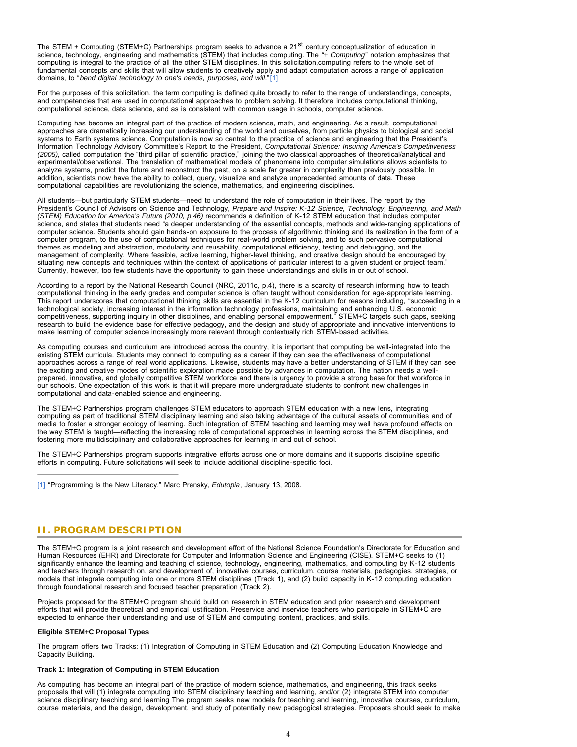The STEM + Computing (STEM+C) Partnerships program seeks to advance a  $21^{st}$  century conceptualization of education in science, technology, engineering and mathematics (STEM) that includes computing. The *"+ Computing*" notation emphasizes that computing is integral to the practice of all the other STEM disciplines. In this solicitation,computing refers to the whole set of fundamental concepts and skills that will allow students to creatively apply and adapt computation across a range of application domains, to "*bend digital technology to one's needs, purposes, and will*."[\[1\]](#page-3-1)

<span id="page-3-2"></span>For the purposes of this solicitation, the term computing is defined quite broadly to refer to the range of understandings, concepts, and competencies that are used in computational approaches to problem solving. It therefore includes computational thinking, computational science, data science, and as is consistent with common usage in schools, computer science.

Computing has become an integral part of the practice of modern science, math, and engineering. As a result, computational approaches are dramatically increasing our understanding of the world and ourselves, from particle physics to biological and social systems to Earth systems science. Computation is now so central to the practice of science and engineering that the President's Information Technology Advisory Committee's Report to the President, *Computational Science: Insuring America's Competitiveness (2005),* called computation the "third pillar of scientific practice," joining the two classical approaches of theoretical/analytical and experimental/observational. The translation of mathematical models of phenomena into computer simulations allows scientists to analyze systems, predict the future and reconstruct the past, on a scale far greater in complexity than previously possible. In addition, scientists now have the ability to collect, query, visualize and analyze unprecedented amounts of data. These computational capabilities are revolutionizing the science, mathematics, and engineering disciplines.

All students—but particularly STEM students—need to understand the role of computation in their lives. The report by the President's Council of Advisors on Science and Technology, *Prepare and Inspire: K-12 Science, Technology, Engineering, and Math (STEM) Education for America's Future (2010, p.46)* recommends a definition of K-12 STEM education that includes computer science, and states that students need "a deeper understanding of the essential concepts, methods and wide-ranging applications of computer science. Students should gain hands-on exposure to the process of algorithmic thinking and its realization in the form of a computer program, to the use of computational techniques for real-world problem solving, and to such pervasive computational themes as modeling and abstraction, modularity and reusability, computational efficiency, testing and debugging, and the management of complexity. Where feasible, active learning, higher-level thinking, and creative design should be encouraged by situating new concepts and techniques within the context of applications of particular interest to a given student or project team. Currently, however, too few students have the opportunity to gain these understandings and skills in or out of school.

According to a report by the National Research Council (NRC, 2011c, p.4), there is a scarcity of research informing how to teach computational thinking in the early grades and computer science is often taught without consideration for age-appropriate learning. This report underscores that computational thinking skills are essential in the K-12 curriculum for reasons including, "succeeding in a technological society, increasing interest in the information technology professions, maintaining and enhancing U.S. economic competitiveness, supporting inquiry in other disciplines, and enabling personal empowerment." STEM+C targets such gaps, seeking research to build the evidence base for effective pedagogy, and the design and study of appropriate and innovative interventions to make learning of computer science increasingly more relevant through contextually rich STEM-based activities.

As computing courses and curriculum are introduced across the country, it is important that computing be well-integrated into the existing STEM curricula. Students may connect to computing as a career if they can see the effectiveness of computational approaches across a range of real world applications. Likewise, students may have a better understanding of STEM if they can see the exciting and creative modes of scientific exploration made possible by advances in computation. The nation needs a wellprepared, innovative, and globally competitive STEM workforce and there is urgency to provide a strong base for that workforce in our schools. One expectation of this work is that it will prepare more undergraduate students to confront new challenges in computational and data-enabled science and engineering.

The STEM+C Partnerships program challenges STEM educators to approach STEM education with a new lens, integrating computing as part of traditional STEM disciplinary learning and also taking advantage of the cultural assets of communities and of media to foster a stronger ecology of learning. Such integration of STEM teaching and learning may well have profound effects on the way STEM is taught—reflecting the increasing role of computational approaches in learning across the STEM disciplines, and fostering more multidisciplinary and collaborative approaches for learning in and out of school.

The STEM+C Partnerships program supports integrative efforts across one or more domains and it supports discipline specific efforts in computing. Future solicitations will seek to include additional discipline-specific foci.

<span id="page-3-1"></span>[\[1\]](#page-3-2) "Programming Is the New Literacy," Marc Prensky, *Edutopia*, January 13, 2008.

# <span id="page-3-0"></span>**II. PROGRAM DESCRIPTION**

The STEM+C program is a joint research and development effort of the National Science Foundation's Directorate for Education and Human Resources (EHR) and Directorate for Computer and Information Science and Engineering (CISE). STEM+C seeks to (1) significantly enhance the learning and teaching of science, technology, engineering, mathematics, and computing by K-12 students and teachers through research on, and development of, innovative courses, curriculum, course materials, pedagogies, strategies, or models that integrate computing into one or more STEM disciplines (Track 1), and (2) build capacity in K-12 computing education through foundational research and focused teacher preparation (Track 2).

Projects proposed for the STEM+C program should build on research in STEM education and prior research and development efforts that will provide theoretical and empirical justification. Preservice and inservice teachers who participate in STEM+C are expected to enhance their understanding and use of STEM and computing content, practices, and skills.

#### **Eligible STEM+C Proposal Types**

The program offers two Tracks: (1) Integration of Computing in STEM Education and (2) Computing Education Knowledge and Capacity Building**.**

### **Track 1: Integration of Computing in STEM Education**

As computing has become an integral part of the practice of modern science, mathematics, and engineering, this track seeks proposals that will (1) integrate computing into STEM disciplinary teaching and learning, and/or (2) integrate STEM into computer science disciplinary teaching and learning The program seeks new models for teaching and learning, innovative courses, curriculum, course materials, and the design, development, and study of potentially new pedagogical strategies. Proposers should seek to make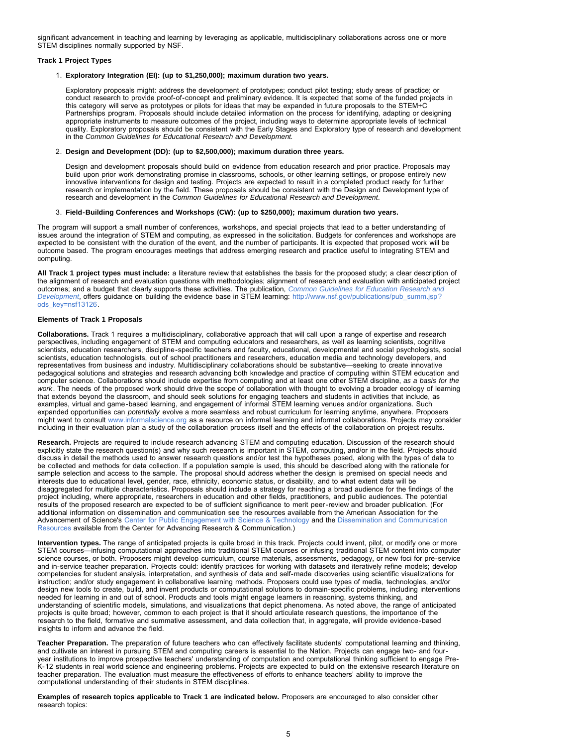significant advancement in teaching and learning by leveraging as applicable, multidisciplinary collaborations across one or more STEM disciplines normally supported by NSF.

### **Track 1 Project Types**

#### 1. **Exploratory Integration (EI): (up to \$1,250,000); maximum duration two years.**

Exploratory proposals might: address the development of prototypes; conduct pilot testing; study areas of practice; or conduct research to provide proof-of-concept and preliminary evidence. It is expected that some of the funded projects in this category will serve as prototypes or pilots for ideas that may be expanded in future proposals to the STEM+C Partnerships program. Proposals should include detailed information on the process for identifying, adapting or designing appropriate instruments to measure outcomes of the project, including ways to determine appropriate levels of technical quality. Exploratory proposals should be consistent with the Early Stages and Exploratory type of research and development in the *Common Guidelines for Educational Research and Development.*

### 2. **Design and Development (DD): (up to \$2,500,000); maximum duration three years.**

Design and development proposals should build on evidence from education research and prior practice. Proposals may build upon prior work demonstrating promise in classrooms, schools, or other learning settings, or propose entirely new innovative interventions for design and testing. Projects are expected to result in a completed product ready for further research or implementation by the field. These proposals should be consistent with the Design and Development type of research and development in the *Common Guidelines for Educational Research and Development*.

### 3. **Field-Building Conferences and Workshops (CW): (up to \$250,000); maximum duration two years.**

The program will support a small number of conferences, workshops, and special projects that lead to a better understanding of issues around the integration of STEM and computing, as expressed in the solicitation. Budgets for conferences and workshops are expected to be consistent with the duration of the event, and the number of participants. It is expected that proposed work will be outcome based. The program encourages meetings that address emerging research and practice useful to integrating STEM and computing.

**All Track 1 project types must include:** a literature review that establishes the basis for the proposed study; a clear description of the alignment of research and evaluation questions with methodologies; alignment of research and evaluation with anticipated project outcomes; and a budget that clearly supports these activities. The publication, *[Common Guidelines for Education Research and](http://www.nsf.gov/publications/pub_summ.jsp?ods_key=nsf13126) [Development](http://www.nsf.gov/publications/pub_summ.jsp?ods_key=nsf13126)*, offers guidance on building the evidence base in STEM learning: [http://www.nsf.gov/publications/pub\\_summ.jsp?](http://www.nsf.gov/publications/pub_summ.jsp?ods_key=nsf13126) [ods\\_key=nsf13126.](http://www.nsf.gov/publications/pub_summ.jsp?ods_key=nsf13126)

#### **Elements of Track 1 Proposals**

**Collaborations.** Track 1 requires a multidisciplinary, collaborative approach that will call upon a range of expertise and research perspectives, including engagement of STEM and computing educators and researchers, as well as learning scientists, cognitive scientists, education researchers, discipline-specific teachers and faculty, educational, developmental and social psychologists, social scientists, education technologists, out of school practitioners and researchers, education media and technology developers, and representatives from business and industry. Multidisciplinary collaborations should be substantive—seeking to create innovative pedagogical solutions and strategies and research advancing both knowledge and practice of computing within STEM education and computer science. Collaborations should include expertise from computing and at least one other STEM discipline, *as a basis for the work*. The needs of the proposed work should drive the scope of collaboration with thought to evolving a broader ecology of learning that extends beyond the classroom, and should seek solutions for engaging teachers and students in activities that include, as examples, virtual and game-based learning, and engagement of informal STEM learning venues and/or organizations. Such expanded opportunities can *potentially* evolve a more seamless and robust curriculum for learning anytime, anywhere. Proposers might want to consult [www.informalscience.org](https://www.nsf.gov/cgi-bin/good-bye?http://www.informalscience.org/) as a resource on informal learning and informal collaborations. Projects may consider including in their evaluation plan a study of the collaboration process itself and the effects of the collaboration on project results.

**Research.** Projects are required to include research advancing STEM and computing education. Discussion of the research should explicitly state the research question(s) and why such research is important in STEM, computing, and/or in the field. Projects should discuss in detail the methods used to answer research questions and/or test the hypotheses posed, along with the types of data to be collected and methods for data collection. If a population sample is used, this should be described along with the rationale for sample selection and access to the sample. The proposal should address whether the design is premised on special needs and interests due to educational level, gender, race, ethnicity, economic status, or disability, and to what extent data will be disaggregated for multiple characteristics. Proposals should include a strategy for reaching a broad audience for the findings of the project including, where appropriate, researchers in education and other fields, practitioners, and public audiences. The potential results of the proposed research are expected to be of sufficient significance to merit peer-review and broader publication. (For additional information on dissemination and communication see the resources available from the American Association for the Advancement of Science's [Center for Public Engagement with Science & Technology](https://www.nsf.gov/cgi-bin/good-bye?http://www.aaas.org/programs/centers/pe/) and the [Dissemination and Communication](https://www.nsf.gov/cgi-bin/good-bye?https://arc.uchicago.edu/reese/dissemination-and-communication-resources) [Resources](https://www.nsf.gov/cgi-bin/good-bye?https://arc.uchicago.edu/reese/dissemination-and-communication-resources) available from the Center for Advancing Research & Communication.)

**Intervention types.** The range of anticipated projects is quite broad in this track. Projects could invent, pilot, or modify one or more STEM courses—infusing computational approaches into traditional STEM courses or infusing traditional STEM content into computer science courses, or both. Proposers might develop curriculum, course materials, assessments, pedagogy, or new foci for pre-service and in-service teacher preparation. Projects could: identify practices for working with datasets and iteratively refine models; develop competencies for student analysis, interpretation, and synthesis of data and self-made discoveries using scientific visualizations for instruction; and/or study engagement in collaborative learning methods. Proposers could use types of media, technologies, and/or design new tools to create, build, and invent products or computational solutions to domain-specific problems, including interventions needed for learning in and out of school. Products and tools might engage learners in reasoning, systems thinking, and understanding of scientific models, simulations, and visualizations that depict phenomena. As noted above, the range of anticipated projects is quite broad; however, common to each project is that it should articulate research questions, the importance of the research to the field, formative and summative assessment, and data collection that, in aggregate, will provide evidence-based insights to inform and advance the field.

**Teacher Preparation.** The preparation of future teachers who can effectively facilitate students' computational learning and thinking, and cultivate an interest in pursuing STEM and computing careers is essential to the Nation. Projects can engage two- and fouryear institutions to improve prospective teachers' understanding of computation and computational thinking sufficient to engage Pre-K-12 students in real world science and engineering problems. Projects are expected to build on the extensive research literature on teacher preparation. The evaluation must measure the effectiveness of efforts to enhance teachers' ability to improve the computational understanding of their students in STEM disciplines.

**Examples of research topics applicable to Track 1 are indicated below.** Proposers are encouraged to also consider other research topics: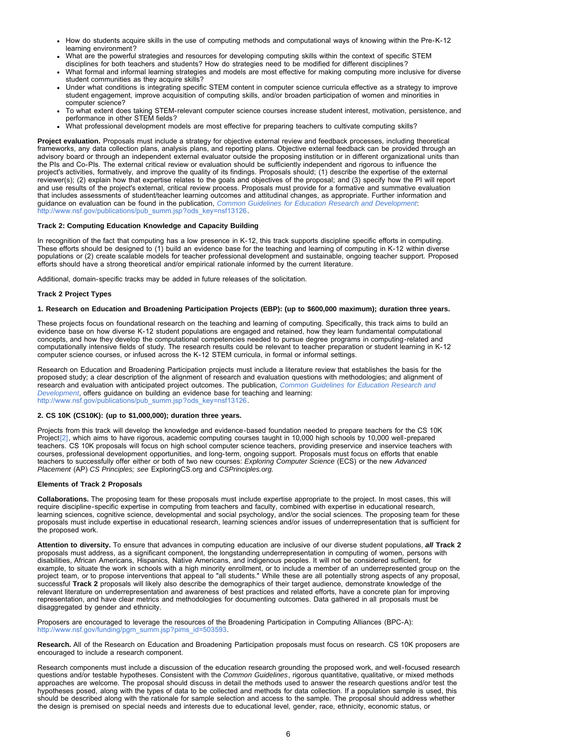- How do students acquire skills in the use of computing methods and computational ways of knowing within the Pre-K-12 learning environment?
- What are the powerful strategies and resources for developing computing skills within the context of specific STEM
- disciplines for both teachers and students? How do strategies need to be modified for different disciplines? What formal and informal learning strategies and models are most effective for making computing more inclusive for diverse student communities as they acquire skills?
- Under what conditions is integrating specific STEM content in computer science curricula effective as a strategy to improve student engagement, improve acquisition of computing skills, and/or broaden participation of women and minorities in computer science?
- To what extent does taking STEM-relevant computer science courses increase student interest, motivation, persistence, and performance in other STEM fields?
- What professional development models are most effective for preparing teachers to cultivate computing skills?

**Project evaluation.** Proposals must include a strategy for objective external review and feedback processes, including theoretical frameworks, any data collection plans, analysis plans, and reporting plans. Objective external feedback can be provided through an advisory board or through an independent external evaluator outside the proposing institution or in different organizational units than the PIs and Co-PIs. The external critical review or evaluation should be sufficiently independent and rigorous to influence the project's activities, formatively, and improve the quality of its findings. Proposals should; (1) describe the expertise of the external reviewer(s); (2) explain how that expertise relates to the goals and objectives of the proposal; and (3) specify how the PI will report and use results of the project's external, critical review process. Proposals must provide for a formative and summative evaluation that includes assessments of student/teacher learning outcomes and attitudinal changes, as appropriate. Further information and guidance on evaluation can be found in the publication, *[Common Guidelines for Education Research and Development](http://www.nsf.gov/publications/pub_summ.jsp?ods_key=nsf13126)*: [http://www.nsf.gov/publications/pub\\_summ.jsp?ods\\_key=nsf13126.](http://www.nsf.gov/publications/pub_summ.jsp?ods_key=nsf13126)

#### **Track 2: Computing Education Knowledge and Capacity Building**

In recognition of the fact that computing has a low presence in K-12, this track supports discipline specific efforts in computing. These efforts should be designed to (1) build an evidence base for the teaching and learning of computing in K-12 within diverse populations or (2) create scalable models for teacher professional development and sustainable, ongoing teacher support. Proposed efforts should have a strong theoretical and/or empirical rationale informed by the current literature.

Additional, domain-specific tracks may be added in future releases of the solicitation.

#### **Track 2 Project Types**

### **1. Research on Education and Broadening Participation Projects (EBP): (up to \$600,000 maximum); duration three years.**

These projects focus on foundational research on the teaching and learning of computing. Specifically, this track aims to build an evidence base on how diverse K-12 student populations are engaged and retained, how they learn fundamental computational concepts, and how they develop the computational competencies needed to pursue degree programs in computing-related and computationally intensive fields of study. The research results could be relevant to teacher preparation or student learning in K-12 computer science courses, or infused across the K-12 STEM curricula, in formal or informal settings.

Research on Education and Broadening Participation projects must include a literature review that establishes the basis for the proposed study; a clear description of the alignment of research and evaluation questions with methodologies; and alignment of research and evaluation with anticipated project outcomes. The publication, *[Common Guidelines for Education Research and](http://www.nsf.gov/publications/pub_summ.jsp?ods_key=nsf13126) [Development](http://www.nsf.gov/publications/pub_summ.jsp?ods_key=nsf13126)*, offers guidance on building an evidence base for teaching and learning: [http://www.nsf.gov/publications/pub\\_summ.jsp?ods\\_key=nsf13126.](http://www.nsf.gov/publications/pub_summ.jsp?ods_key=nsf13126)

### **2. CS 10K (CS10K): (up to \$1,000,000); duration three years.**

<span id="page-5-0"></span>Projects from this track will develop the knowledge and evidence-based foundation needed to prepare teachers for the CS 10K Project[\[2\],](#page-7-3) which aims to have rigorous, academic computing courses taught in 10,000 high schools by 10,000 well-prepared teachers. CS 10K proposals will focus on high school computer science teachers, providing preservice and inservice teachers with courses, professional development opportunities, and long-term, ongoing support. Proposals must focus on efforts that enable teachers to successfully offer either or both of two new courses: *Exploring Computer Science* (ECS) or the new *Advanced Placement* (AP) *CS Principles; see* ExploringCS.org and *CSPrinciples.org.*

#### **Elements of Track 2 Proposals**

**Collaborations.** The proposing team for these proposals must include expertise appropriate to the project. In most cases, this will require discipline-specific expertise in computing from teachers and faculty, combined with expertise in educational research, learning sciences, cognitive science, developmental and social psychology, and/or the social sciences. The proposing team for these proposals must include expertise in educational research, learning sciences and/or issues of underrepresentation that is sufficient for the proposed work.

**Attention to diversity.** To ensure that advances in computing education are inclusive of our diverse student populations, *all* **Track 2** proposals must address, as a significant component, the longstanding underrepresentation in computing of women, persons with disabilities, African Americans, Hispanics, Native Americans, and indigenous peoples. It will not be considered sufficient, for example, to situate the work in schools with a high minority enrollment, or to include a member of an underrepresented group on the project team, or to propose interventions that appeal to "all students." While these are all potentially strong aspects of any proposal, successful **Track 2** proposals will likely also describe the demographics of their target audience, demonstrate knowledge of the relevant literature on underrepresentation and awareness of best practices and related efforts, have a concrete plan for improving representation, and have clear metrics and methodologies for documenting outcomes. Data gathered in all proposals must be disaggregated by gender and ethnicity.

Proposers are encouraged to leverage the resources of the Broadening Participation in Computing Alliances (BPC-A): [http://www.nsf.gov/funding/pgm\\_summ.jsp?pims\\_id=503593.](http://www.nsf.gov/funding/pgm_summ.jsp?pims_id=503593)

**Research.** All of the Research on Education and Broadening Participation proposals must focus on research. CS 10K proposers are encouraged to include a research component.

Research components must include a discussion of the education research grounding the proposed work, and well-focused research questions and/or testable hypotheses. Consistent with the *Common Guidelines*, rigorous quantitative, qualitative, or mixed methods approaches are welcome. The proposal should discuss in detail the methods used to answer the research questions and/or test the hypotheses posed, along with the types of data to be collected and methods for data collection. If a population sample is used, this should be described along with the rationale for sample selection and access to the sample. The proposal should address whether the design is premised on special needs and interests due to educational level, gender, race, ethnicity, economic status, or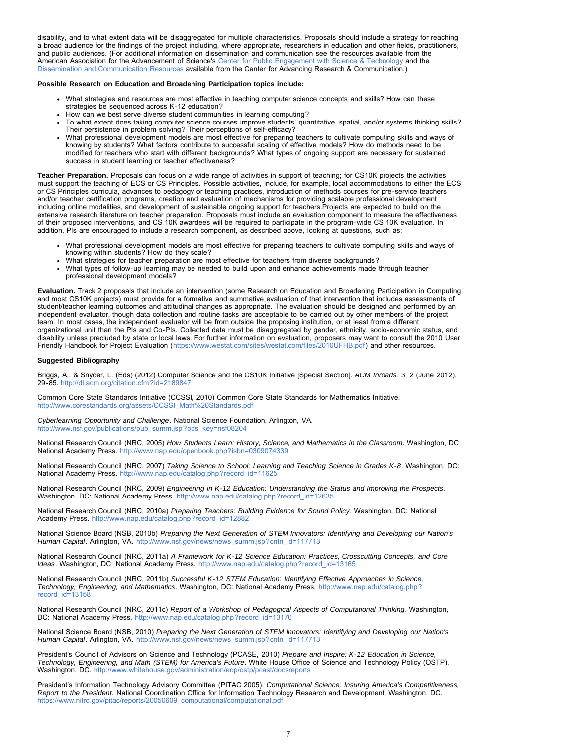disability, and to what extent data will be disaggregated for multiple characteristics. Proposals should include a strategy for reaching a broad audience for the findings of the project including, where appropriate, researchers in education and other fields, practitioners, and public audiences. (For additional information on dissemination and communication see the resources available from the American Association for the Advancement of Science's [Center for Public Engagement with Science & Technology](https://www.nsf.gov/cgi-bin/good-bye?http://www.aaas.org/programs/centers/pe/) and the [Dissemination and Communication Resources](https://www.nsf.gov/cgi-bin/good-bye?https://arc.uchicago.edu/reese/dissemination-and-communication-resources) available from the Center for Advancing Research & Communication.)

#### **Possible Research on Education and Broadening Participation topics include:**

- What strategies and resources are most effective in teaching computer science concepts and skills? How can these strategies be sequenced across K-12 education?
- How can we best serve diverse student communities in learning computing?
- To what extent does taking computer science courses improve students' quantitative, spatial, and/or systems thinking skills? Their persistence in problem solving? Their perceptions of self-efficacy?
- What professional development models are most effective for preparing teachers to cultivate computing skills and ways of knowing by students? What factors contribute to successful scaling of effective models? How do methods need to be modified for teachers who start with different backgrounds? What types of ongoing support are necessary for sustained success in student learning or teacher effectiveness?

**Teacher Preparation.** Proposals can focus on a wide range of activities in support of teaching; for CS10K projects the activities must support the teaching of ECS or CS Principles. Possible activities, include, for example, local accommodations to either the ECS or CS Principles curricula, advances to pedagogy or teaching practices, introduction of methods courses for pre-service teachers and/or teacher certification programs, creation and evaluation of mechanisms for providing scalable professional development including online modalities, and development of sustainable ongoing support for teachers. Projects are expected to build on the extensive research literature on teacher preparation. Proposals must include an evaluation component to measure the effectiveness of their proposed interventions, and CS 10K awardees will be required to participate in the program-wide CS 10K evaluation. In addition, PIs are encouraged to include a research component, as described above, looking at questions, such as:

- What professional development models are most effective for preparing teachers to cultivate computing skills and ways of knowing within students? How do they scale?
- What strategies for teacher preparation are most effective for teachers from diverse backgrounds?
- What types of follow-up learning may be needed to build upon and enhance achievements made through teacher professional development models?

**Evaluation.** Track 2 proposals that include an intervention (some Research on Education and Broadening Participation in Computing and most CS10K projects) must provide for a formative and summative evaluation of that intervention that includes assessments of student/teacher learning outcomes and attitudinal changes as appropriate. The evaluation should be designed and performed by an independent evaluator, though data collection and routine tasks are acceptable to be carried out by other members of the project team. In most cases, the independent evaluator will be from outside the proposing institution, or at least from a different organizational unit than the PIs and Co-PIs. Collected data must be disaggregated by gender, ethnicity, socio-economic status, and disability unless precluded by state or local laws. For further information on evaluation, proposers may want to consult the 2010 User Friendly Handbook for Project Evaluation ([https://www.westat.com/sites/westat.com/files/2010UFHB.pdf\)](http://www.nsf.gov/cgi-bin/good-bye?https://www.westat.com/sites/westat.com/files/2010UFHB.pdf) and other resources.

#### **Suggested Bibliography**

Briggs, A., & Snyder, L. (Eds) (2012) Computer Science and the CS10K Initiative [Special Section]. *ACM Inroads*, 3, 2 (June 2012), 29-85. [http://dl.acm.org/citation.cfm?id=2189847](https://www.nsf.gov/cgi-bin/good-bye?http://dl.acm.org/citation.cfm?id=2189847)

Common Core State Standards Initiative (CCSSI, 2010) Common Core State Standards for Mathematics Initiative. [http://www.corestandards.org/assets/CCSSI\\_Math%20Standards.pdf](https://www.nsf.gov/cgi-bin/good-bye?http://www.corestandards.org/assets/CCSSI_Math%20Standards.pdf)

*Cyberlearning Opportunity and Challenge*. National Science Foundation, Arlington, VA. [http://www.nsf.gov/publications/pub\\_summ.jsp?ods\\_key=nsf08204](http://www.nsf.gov/publications/pub_summ.jsp?ods_key=nsf08204)

National Research Council (NRC, 2005) *How Students Learn: History, Science, and Mathematics in the Classroom*. Washington, DC: National Academy Press. [http://www.nap.edu/openbook.php?isbn=0309074339](https://www.nsf.gov/cgi-bin/good-bye?http://www.nap.edu/openbook.php?isbn=0309074339)

National Research Council (NRC, 2007) *Taking Science to School: Learning and Teaching Science in Grades K-8*. Washington, DC: National Academy Press. [http://www.nap.edu/catalog.php?record\\_id=11625](https://www.nsf.gov/cgi-bin/good-bye?http://www.nap.edu/catalog.php?record_id=11625)

National Research Council (NRC, 2009) *Engineering in K-12 Education: Understanding the Status and Improving the Prospects*. Washington, DC: National Academy Press. [http://www.nap.edu/catalog.php?record\\_id=12635](https://www.nsf.gov/cgi-bin/good-bye?http://www.nap.edu/catalog.php?record_id=12635)

National Research Council (NRC, 2010a) *Preparing Teachers: Building Evidence for Sound Policy*. Washington, DC: National Academy Press. [http://www.nap.edu/catalog.php?record\\_id=12882](https://www.nsf.gov/cgi-bin/good-bye?http://www.nap.edu/catalog.php?record_id=12882)

National Science Board (NSB, 2010b) *Preparing the Next Generation of STEM Innovators: Identifying and Developing our Nation's Human Capital*. Arlington, VA. [http://www.nsf.gov/news/news\\_summ.jsp?cntn\\_id=117713](http://www.nsf.gov/news/news_summ.jsp?cntn_id=117713)

National Research Council (NRC, 2011a) *A Framework for K-12 Science Education: Practices, Crosscutting Concepts, and Core Ideas*. Washington, DC: National Academy Press. [http://www.nap.edu/catalog.php?record\\_id=13165](https://www.nsf.gov/cgi-bin/good-bye?http://www.nap.edu/catalog.php?record_id=13165)

National Research Council (NRC, 2011b) *Successful K-12 STEM Education: Identifying Effective Approaches in Science, Technology, Engineering, and Mathematics*. Washington, DC: National Academy Press. [http://www.nap.edu/catalog.php?](https://www.nsf.gov/cgi-bin/good-bye?http://www.nap.edu/catalog.php?record_id=13158) [record\\_id=13158](https://www.nsf.gov/cgi-bin/good-bye?http://www.nap.edu/catalog.php?record_id=13158)

National Research Council (NRC, 2011c) *Report of a Workshop of Pedagogical Aspects of Computational Thinking.* Washington, DC: National Academy Press. [http://www.nap.edu/catalog.php?record\\_id=13170](https://www.nsf.gov/cgi-bin/good-bye?http://www.nap.edu/catalog.php?record_id=13170)

National Science Board (NSB, 2010) *Preparing the Next Generation of STEM Innovators: Identifying and Developing our Nation's Human Capital*. Arlington, VA. [http://www.nsf.gov/news/news\\_summ.jsp?cntn\\_id=117713](http://www.nsf.gov/news/news_summ.jsp?cntn_id=117713)

President's Council of Advisors on Science and Technology (PCASE, 2010) *Prepare and Inspire: K-12 Education in Science, Technology, Engineering, and Math (STEM) for America's Future*. White House Office of Science and Technology Policy (OSTP), Washington, DC. <http://www.whitehouse.gov/administration/eop/ostp/pcast/docsreports>

President's Information Technology Advisory Committee (PITAC 2005). *Computational Science: Insuring America's Competitiveness, Report to the President.* National Coordination Office for Information Technology Research and Development, Washington, DC. [https://www.nitrd.gov/pitac/reports/20050609\\_computational/computational.pdf](https://www.nitrd.gov/pitac/reports/20050609_computational/computational.pdf)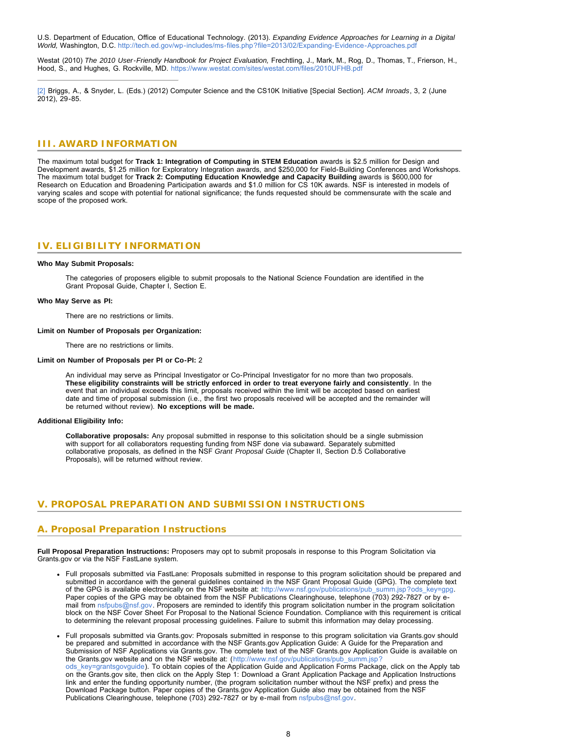U.S. Department of Education, Office of Educational Technology. (2013). *Expanding Evidence Approaches for Learning in a Digital World,* Washington, D.C.<http://tech.ed.gov/wp-includes/ms-files.php?file=2013/02/Expanding-Evidence-Approaches.pdf>

Westat (2010) *The 2010 User-Friendly Handbook for Project Evaluation*, Frechtling, J., Mark, M., Rog, D., Thomas, T., Frierson, H., Hood, S., and Hughes, G. Rockville, MD. [https://www.westat.com/sites/westat.com/files/2010UFHB.pdf](https://www.nsf.gov/cgi-bin/good-bye?https://www.westat.com/sites/westat.com/files/2010UFHB.pdf)

<span id="page-7-3"></span>[\[2\]](#page-5-0) Briggs, A., & Snyder, L. (Eds.) (2012) Computer Science and the CS10K Initiative [Special Section]. *ACM Inroads*, 3, 2 (June 2012), 29-85.

## <span id="page-7-0"></span>**III. AWARD INFORMATION**

The maximum total budget for **Track 1: Integration of Computing in STEM Education** awards is \$2.5 million for Design and Development awards, \$1.25 million for Exploratory Integration awards, and \$250,000 for Field-Building Conferences and Workshops. The maximum total budget for **Track 2: Computing Education Knowledge and Capacity Building** awards is \$600,000 for Research on Education and Broadening Participation awards and \$1.0 million for CS 10K awards. NSF is interested in models of varying scales and scope with potential for national significance; the funds requested should be commensurate with the scale and scope of the proposed work.

## <span id="page-7-1"></span>**IV. ELIGIBILITY INFORMATION**

### **Who May Submit Proposals:**

The categories of proposers eligible to submit proposals to the National Science Foundation are identified in the Grant Proposal Guide, Chapter I, Section E.

#### **Who May Serve as PI:**

There are no restrictions or limits.

### **Limit on Number of Proposals per Organization:**

There are no restrictions or limits.

#### **Limit on Number of Proposals per PI or Co-PI:** 2

An individual may serve as Principal Investigator or Co-Principal Investigator for no more than two proposals. **These eligibility constraints will be strictly enforced in order to treat everyone fairly and consistently**. In the event that an individual exceeds this limit, proposals received within the limit will be accepted based on earliest date and time of proposal submission (i.e., the first two proposals received will be accepted and the remainder will be returned without review). **No exceptions will be made.**

#### **Additional Eligibility Info:**

**Collaborative proposals:** Any proposal submitted in response to this solicitation should be a single submission with support for all collaborators requesting funding from NSF done via subaward. Separately submitted collaborative proposals, as defined in the NSF *Grant Proposal Guide* (Chapter II, Section D.5 Collaborative Proposals), will be returned without review.

## <span id="page-7-2"></span>**V. PROPOSAL PREPARATION AND SUBMISSION INSTRUCTIONS**

# **A. Proposal Preparation Instructions**

**Full Proposal Preparation Instructions:** Proposers may opt to submit proposals in response to this Program Solicitation via Grants.gov or via the NSF FastLane system.

- Full proposals submitted via FastLane: Proposals submitted in response to this program solicitation should be prepared and submitted in accordance with the general guidelines contained in the NSF Grant Proposal Guide (GPG). The complete text of the GPG is available electronically on the NSF website at: [http://www.nsf.gov/publications/pub\\_summ.jsp?ods\\_key=gpg.](http://www.nsf.gov/publications/pub_summ.jsp?ods_key=gpg) Paper copies of the GPG may be obtained from the NSF Publications Clearinghouse, telephone (703) 292-7827 or by email from [nsfpubs@nsf.gov.](mailto:nsfpubs@nsf.gov) Proposers are reminded to identify this program solicitation number in the program solicitation block on the NSF Cover Sheet For Proposal to the National Science Foundation. Compliance with this requirement is critical to determining the relevant proposal processing guidelines. Failure to submit this information may delay processing.
- Full proposals submitted via Grants.gov: Proposals submitted in response to this program solicitation via Grants.gov should be prepared and submitted in accordance with the NSF Grants.gov Application Guide: A Guide for the Preparation and Submission of NSF Applications via Grants.gov. The complete text of the NSF Grants.gov Application Guide is available on the Grants.gov website and on the NSF website at: ([http://www.nsf.gov/publications/pub\\_summ.jsp?](http://www.nsf.gov/publications/pub_summ.jsp?ods_key=grantsgovguide) [ods\\_key=grantsgovguide\)](http://www.nsf.gov/publications/pub_summ.jsp?ods_key=grantsgovguide). To obtain copies of the Application Guide and Application Forms Package, click on the Apply tab on the Grants.gov site, then click on the Apply Step 1: Download a Grant Application Package and Application Instructions link and enter the funding opportunity number, (the program solicitation number without the NSF prefix) and press the Download Package button. Paper copies of the Grants.gov Application Guide also may be obtained from the NSF Publications Clearinghouse, telephone (703) 292-7827 or by e-mail from [nsfpubs@nsf.gov.](mailto:nsfpubs@nsf.gov)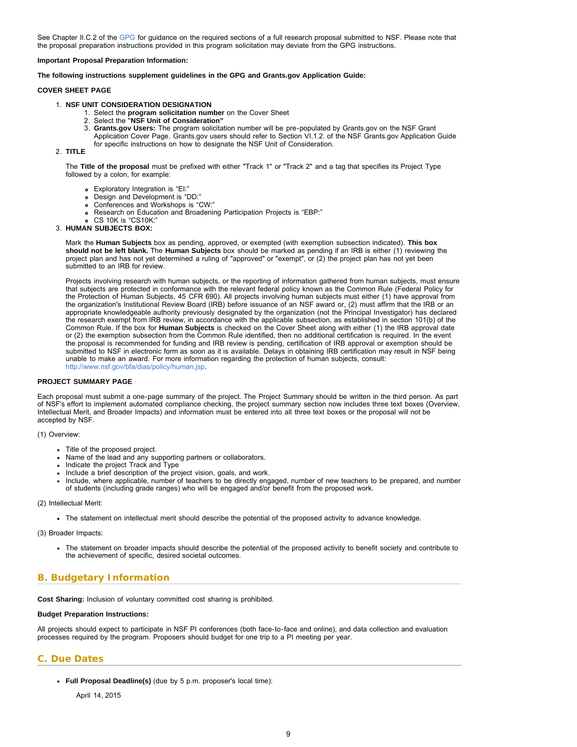<span id="page-8-1"></span>See Chapter II.C.2 of the [GPG](http://www.nsf.gov/publications/pub_summ.jsp?ods_key=gpg) for guidance on the required sections of a full research proposal submitted to NSF. Please note that the proposal preparation instructions provided in this program solicitation may deviate from the GPG instructions.

### **Important Proposal Preparation Information:**

**The following instructions supplement guidelines in the GPG and Grants.gov Application Guide:**

#### **COVER SHEET PAGE**

- 1. **NSF UNIT CONSIDERATION DESIGNATION**
	- 1. Select the **program solicitation number** on the Cover Sheet
	- 2. Select the "**NSF Unit of Consideration"**
	- 3. **Grants.gov Users:** The program solicitation number will be pre-populated by Grants.gov on the NSF Grant Application Cover Page. Grants.gov users should refer to Section VI.1.2. of the NSF Grants.gov Application Guide for specific instructions on how to designate the NSF Unit of Consideration.
- 2. **TITLE**

The **Title of the proposal** must be prefixed with either "Track 1" or "Track 2" and a tag that specifies its Project Type followed by a colon, for example:

- Exploratory Integration is "EI:"
- Design and Development is "DD:"
- Conferences and Workshops is "CW:"  $\bullet$
- Research on Education and Broadening Participation Projects is "EBP:"
- CS 10K is "CS10K:"
- 3. **HUMAN SUBJECTS BOX:**

Mark the **Human Subjects** box as pending, approved, or exempted (with exemption subsection indicated). **This box should not be left blank.** The **Human Subjects** box should be marked as pending if an IRB is either (1) reviewing the project plan and has not yet determined a ruling of "approved" or "exempt", or (2) the project plan has not yet been submitted to an IRB for review.

Projects involving research with human subjects, or the reporting of information gathered from human subjects, must ensure that subjects are protected in conformance with the relevant federal policy known as the Common Rule (Federal Policy for the Protection of Human Subjects, 45 CFR 690). All projects involving human subjects must either (1) have approval from the organization's Institutional Review Board (IRB) before issuance of an NSF award or, (2) must affirm that the IRB or an appropriate knowledgeable authority previously designated by the organization (not the Principal Investigator) has declared the research exempt from IRB review, in accordance with the applicable subsection, as established in section 101(b) of the Common Rule. If the box for **Human Subjects** is checked on the Cover Sheet along with either (1) the IRB approval date or (2) the exemption subsection from the Common Rule identified, then no additional certification is required. In the event the proposal is recommended for funding and IRB review is pending, certification of IRB approval or exemption should be submitted to NSF in electronic form as soon as it is available. Delays in obtaining IRB certification may result in NSF being unable to make an award. For more information regarding the protection of human subjects, consult: [http://www.nsf.gov/bfa/dias/policy/human.jsp.](http://www.nsf.gov/bfa/dias/policy/human.jsp)

#### **PROJECT SUMMARY PAGE**

Each proposal must submit a one-page summary of the project. The Project Summary should be written in the third person. As part of NSF's effort to implement automated compliance checking, the project summary section now includes three text boxes (Overview, Intellectual Merit, and Broader Impacts) and information must be entered into all three text boxes or the proposal will not be accepted by NSF.

(1) Overview:

- Title of the proposed project.
- Name of the lead and any supporting partners or collaborators.
- Indicate the project Track and Type
- Include a brief description of the project vision, goals, and work.
- Include, where applicable, number of teachers to be directly engaged, number of new teachers to be prepared, and number of students (including grade ranges) who will be engaged and/or benefit from the proposed work.

#### (2) Intellectual Merit:

- The statement on intellectual merit should describe the potential of the proposed activity to advance knowledge.
- (3) Broader Impacts:
	- The statement on broader impacts should describe the potential of the proposed activity to benefit society and contribute to the achievement of specific, desired societal outcomes.

## <span id="page-8-0"></span>**B. Budgetary Information**

**Cost Sharing:** Inclusion of voluntary committed cost sharing is prohibited.

#### **Budget Preparation Instructions:**

All projects should expect to participate in NSF PI conferences (both face-to-face and online), and data collection and evaluation processes required by the program. Proposers should budget for one trip to a PI meeting per year.

## **C. Due Dates**

**Full Proposal Deadline(s)** (due by 5 p.m. proposer's local time):

April 14, 2015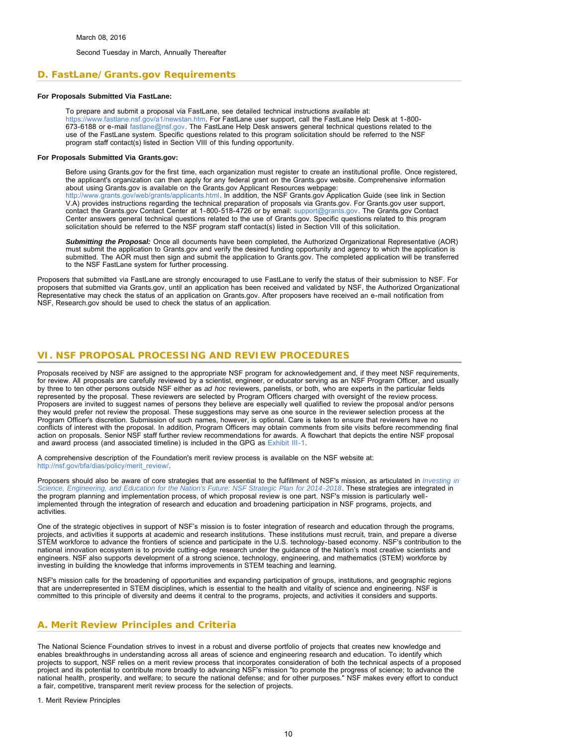Second Tuesday in March, Annually Thereafter

## <span id="page-9-0"></span>**D. FastLane/Grants.gov Requirements**

### **For Proposals Submitted Via FastLane:**

To prepare and submit a proposal via FastLane, see detailed technical instructions available at: [https://www.fastlane.nsf.gov/a1/newstan.htm.](https://www.fastlane.nsf.gov/a1/newstan.htm) For FastLane user support, call the FastLane Help Desk at 1-800- 673-6188 or e-mail [fastlane@nsf.gov.](mailto:fastlane@nsf.gov) The FastLane Help Desk answers general technical questions related to the use of the FastLane system. Specific questions related to this program solicitation should be referred to the NSF program staff contact(s) listed in Section VIII of this funding opportunity.

#### **For Proposals Submitted Via Grants.gov:**

Before using Grants.gov for the first time, each organization must register to create an institutional profile. Once registered, the applicant's organization can then apply for any federal grant on the Grants.gov website. Comprehensive information about using Grants.gov is available on the Grants.gov Applicant Resources webpage: [http://www.grants.gov/web/grants/applicants.html.](http://www.grants.gov/web/grants/applicants.html) In addition, the NSF Grants.gov Application Guide (see link in Section V.A) provides instructions regarding the technical preparation of proposals via Grants.gov. For Grants.gov user support, contact the Grants.gov Contact Center at 1-800-518-4726 or by email: [support@grants.gov](mailto:support@grants.gov). The Grants.gov Contact

Center answers general technical questions related to the use of Grants.gov. Specific questions related to this program solicitation should be referred to the NSF program staff contact(s) listed in Section VIII of this solicitation.

*Submitting the Proposal:* Once all documents have been completed, the Authorized Organizational Representative (AOR) must submit the application to Grants.gov and verify the desired funding opportunity and agency to which the application is submitted. The AOR must then sign and submit the application to Grants.gov. The completed application will be transferred to the NSF FastLane system for further processing.

Proposers that submitted via FastLane are strongly encouraged to use FastLane to verify the status of their submission to NSF. For proposers that submitted via Grants.gov, until an application has been received and validated by NSF, the Authorized Organizational Representative may check the status of an application on Grants.gov. After proposers have received an e-mail notification from NSF, Research.gov should be used to check the status of an application.

# <span id="page-9-1"></span>**VI. NSF PROPOSAL PROCESSING AND REVIEW PROCEDURES**

Proposals received by NSF are assigned to the appropriate NSF program for acknowledgement and, if they meet NSF requirements, for review. All proposals are carefully reviewed by a scientist, engineer, or educator serving as an NSF Program Officer, and usually by three to ten other persons outside NSF either as *ad hoc* reviewers, panelists, or both, who are experts in the particular fields represented by the proposal. These reviewers are selected by Program Officers charged with oversight of the review process. Proposers are invited to suggest names of persons they believe are especially well qualified to review the proposal and/or persons they would prefer not review the proposal. These suggestions may serve as one source in the reviewer selection process at the Program Officer's discretion. Submission of such names, however, is optional. Care is taken to ensure that reviewers have no conflicts of interest with the proposal. In addition, Program Officers may obtain comments from site visits before recommending final action on proposals. Senior NSF staff further review recommendations for awards. A flowchart that depicts the entire NSF proposal and award process (and associated timeline) is included in the GPG as [Exhibit III-1](http://www.nsf.gov/pubs/policydocs/pappguide/nsf14001/gpg_3ex1.pdf).

A comprehensive description of the Foundation's merit review process is available on the NSF website at: [http://nsf.gov/bfa/dias/policy/merit\\_review/.](http://nsf.gov/bfa/dias/policy/merit_review/)

Proposers should also be aware of core strategies that are essential to the fulfillment of NSF's mission, as articulated in *[Investing in](http://www.nsf.gov/pubs/2014/nsf14043/nsf14043.pdf) [Science, Engineering, and Education for the Nation's Future: NSF Strategic Plan for 2014-2018](http://www.nsf.gov/pubs/2014/nsf14043/nsf14043.pdf)*. These strategies are integrated in the program planning and implementation process, of which proposal review is one part. NSF's mission is particularly wellimplemented through the integration of research and education and broadening participation in NSF programs, projects, and activities.

One of the strategic objectives in support of NSF's mission is to foster integration of research and education through the programs, projects, and activities it supports at academic and research institutions. These institutions must recruit, train, and prepare a diverse STEM workforce to advance the frontiers of science and participate in the U.S. technology-based economy. NSF's contribution to the national innovation ecosystem is to provide cutting-edge research under the guidance of the Nation's most creative scientists and engineers. NSF also supports development of a strong science, technology, engineering, and mathematics (STEM) workforce by investing in building the knowledge that informs improvements in STEM teaching and learning.

NSF's mission calls for the broadening of opportunities and expanding participation of groups, institutions, and geographic regions that are underrepresented in STEM disciplines, which is essential to the health and vitality of science and engineering. NSF is committed to this principle of diversity and deems it central to the programs, projects, and activities it considers and supports.

# <span id="page-9-2"></span>**A. Merit Review Principles and Criteria**

The National Science Foundation strives to invest in a robust and diverse portfolio of projects that creates new knowledge and enables breakthroughs in understanding across all areas of science and engineering research and education. To identify which projects to support, NSF relies on a merit review process that incorporates consideration of both the technical aspects of a proposed project and its potential to contribute more broadly to advancing NSF's mission "to promote the progress of science; to advance the national health, prosperity, and welfare; to secure the national defense; and for other purposes." NSF makes every effort to conduct a fair, competitive, transparent merit review process for the selection of projects.

1. Merit Review Principles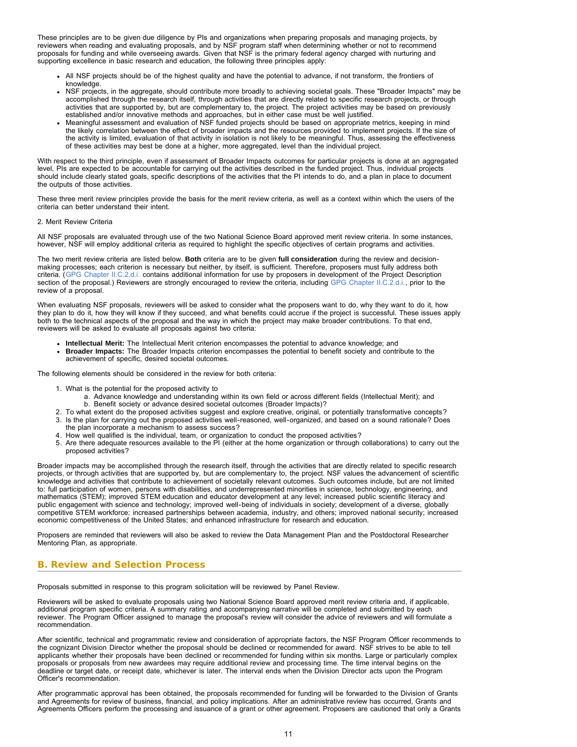These principles are to be given due diligence by PIs and organizations when preparing proposals and managing projects, by reviewers when reading and evaluating proposals, and by NSF program staff when determining whether or not to recommend proposals for funding and while overseeing awards. Given that NSF is the primary federal agency charged with nurturing and supporting excellence in basic research and education, the following three principles apply:

- All NSF projects should be of the highest quality and have the potential to advance, if not transform, the frontiers of knowledge.
- NSF projects, in the aggregate, should contribute more broadly to achieving societal goals. These "Broader Impacts" may be accomplished through the research itself, through activities that are directly related to specific research projects, or through activities that are supported by, but are complementary to, the project. The project activities may be based on previously established and/or innovative methods and approaches, but in either case must be well justified.
- Meaningful assessment and evaluation of NSF funded projects should be based on appropriate metrics, keeping in mind the likely correlation between the effect of broader impacts and the resources provided to implement projects. If the size of the activity is limited, evaluation of that activity in isolation is not likely to be meaningful. Thus, assessing the effectiveness of these activities may best be done at a higher, more aggregated, level than the individual project.

With respect to the third principle, even if assessment of Broader Impacts outcomes for particular projects is done at an aggregated level, PIs are expected to be accountable for carrying out the activities described in the funded project. Thus, individual projects should include clearly stated goals, specific descriptions of the activities that the PI intends to do, and a plan in place to document the outputs of those activities.

These three merit review principles provide the basis for the merit review criteria, as well as a context within which the users of the criteria can better understand their intent.

#### 2. Merit Review Criteria

All NSF proposals are evaluated through use of the two National Science Board approved merit review criteria. In some instances, however, NSF will employ additional criteria as required to highlight the specific objectives of certain programs and activities.

The two merit review criteria are listed below. **Both** criteria are to be given **full consideration** during the review and decisionmaking processes; each criterion is necessary but neither, by itself, is sufficient. Therefore, proposers must fully address both criteria. ([GPG Chapter II.C.2.d.i.](http://www.nsf.gov/pubs/policydocs/pappguide/nsf15001/gpg_2.jsp#IIC2di) contains additional information for use by proposers in development of the Project Description section of the proposal.) Reviewers are strongly encouraged to review the criteria, including [GPG Chapter II.C.2.d.i.,](http://www.nsf.gov/pubs/policydocs/pappguide/nsf15001/gpg_2.jsp#IIC2di) prior to the review of a proposal.

When evaluating NSF proposals, reviewers will be asked to consider what the proposers want to do, why they want to do it, how they plan to do it, how they will know if they succeed, and what benefits could accrue if the project is successful. These issues apply both to the technical aspects of the proposal and the way in which the project may make broader contributions. To that end, reviewers will be asked to evaluate all proposals against two criteria:

- **Intellectual Merit:** The Intellectual Merit criterion encompasses the potential to advance knowledge; and
- **Broader Impacts:** The Broader Impacts criterion encompasses the potential to benefit society and contribute to the achievement of specific, desired societal outcomes.

The following elements should be considered in the review for both criteria:

- 1. What is the potential for the proposed activity to
	- a. Advance knowledge and understanding within its own field or across different fields (Intellectual Merit); and b. Benefit society or advance desired societal outcomes (Broader Impacts)?
- 2. To what extent do the proposed activities suggest and explore creative, original, or potentially transformative concepts?
- 3. Is the plan for carrying out the proposed activities well-reasoned, well-organized, and based on a sound rationale? Does the plan incorporate a mechanism to assess success?
- 4. How well qualified is the individual, team, or organization to conduct the proposed activities?
- 5. Are there adequate resources available to the PI (either at the home organization or through collaborations) to carry out the proposed activities?

Broader impacts may be accomplished through the research itself, through the activities that are directly related to specific research projects, or through activities that are supported by, but are complementary to, the project. NSF values the advancement of scientific knowledge and activities that contribute to achievement of societally relevant outcomes. Such outcomes include, but are not limited to: full participation of women, persons with disabilities, and underrepresented minorities in science, technology, engineering, and mathematics (STEM); improved STEM education and educator development at any level; increased public scientific literacy and public engagement with science and technology; improved well-being of individuals in society; development of a diverse, globally competitive STEM workforce; increased partnerships between academia, industry, and others; improved national security; increased economic competitiveness of the United States; and enhanced infrastructure for research and education.

Proposers are reminded that reviewers will also be asked to review the Data Management Plan and the Postdoctoral Researcher Mentoring Plan, as appropriate.

## <span id="page-10-0"></span>**B. Review and Selection Process**

Proposals submitted in response to this program solicitation will be reviewed by Panel Review.

Reviewers will be asked to evaluate proposals using two National Science Board approved merit review criteria and, if applicable, additional program specific criteria. A summary rating and accompanying narrative will be completed and submitted by each reviewer. The Program Officer assigned to manage the proposal's review will consider the advice of reviewers and will formulate a recommendation.

After scientific, technical and programmatic review and consideration of appropriate factors, the NSF Program Officer recommends to the cognizant Division Director whether the proposal should be declined or recommended for award. NSF strives to be able to tell applicants whether their proposals have been declined or recommended for funding within six months. Large or particularly complex proposals or proposals from new awardees may require additional review and processing time. The time interval begins on the deadline or target date, or receipt date, whichever is later. The interval ends when the Division Director acts upon the Program Officer's recommendation.

After programmatic approval has been obtained, the proposals recommended for funding will be forwarded to the Division of Grants and Agreements for review of business, financial, and policy implications. After an administrative review has occurred, Grants and Agreements Officers perform the processing and issuance of a grant or other agreement. Proposers are cautioned that only a Grants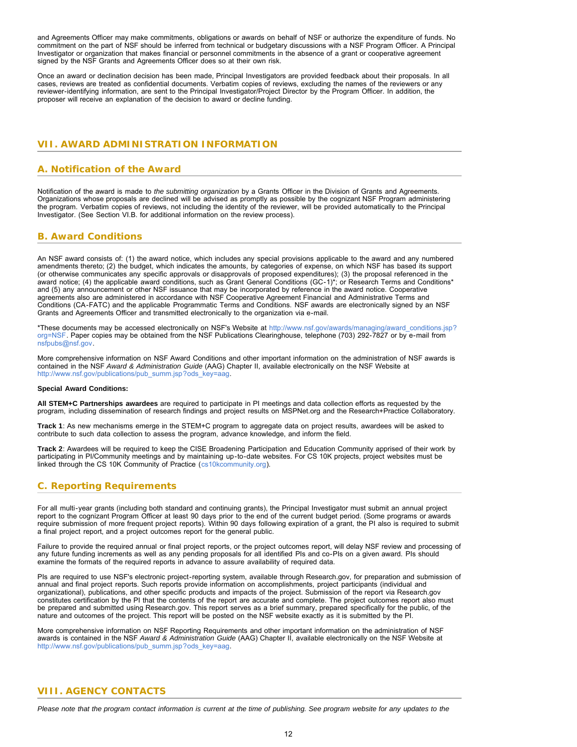and Agreements Officer may make commitments, obligations or awards on behalf of NSF or authorize the expenditure of funds. No commitment on the part of NSF should be inferred from technical or budgetary discussions with a NSF Program Officer. A Principal Investigator or organization that makes financial or personnel commitments in the absence of a grant or cooperative agreement signed by the NSF Grants and Agreements Officer does so at their own risk.

Once an award or declination decision has been made, Principal Investigators are provided feedback about their proposals. In all cases, reviews are treated as confidential documents. Verbatim copies of reviews, excluding the names of the reviewers or any reviewer-identifying information, are sent to the Principal Investigator/Project Director by the Program Officer. In addition, the proposer will receive an explanation of the decision to award or decline funding.

## <span id="page-11-0"></span>**VII. AWARD ADMINISTRATION INFORMATION**

## <span id="page-11-1"></span>**A. Notification of the Award**

Notification of the award is made to *the submitting organization* by a Grants Officer in the Division of Grants and Agreements. Organizations whose proposals are declined will be advised as promptly as possible by the cognizant NSF Program administering the program. Verbatim copies of reviews, not including the identity of the reviewer, will be provided automatically to the Principal Investigator. (See Section VI.B. for additional information on the review process).

## <span id="page-11-2"></span>**B. Award Conditions**

An NSF award consists of: (1) the award notice, which includes any special provisions applicable to the award and any numbered amendments thereto; (2) the budget, which indicates the amounts, by categories of expense, on which NSF has based its support (or otherwise communicates any specific approvals or disapprovals of proposed expenditures); (3) the proposal referenced in the award notice; (4) the applicable award conditions, such as Grant General Conditions (GC-1)\*; or Research Terms and Conditions\* and (5) any announcement or other NSF issuance that may be incorporated by reference in the award notice. Cooperative agreements also are administered in accordance with NSF Cooperative Agreement Financial and Administrative Terms and Conditions (CA-FATC) and the applicable Programmatic Terms and Conditions. NSF awards are electronically signed by an NSF Grants and Agreements Officer and transmitted electronically to the organization via e-mail.

\*These documents may be accessed electronically on NSF's Website at [http://www.nsf.gov/awards/managing/award\\_conditions.jsp?](http://www.nsf.gov/awards/managing/award_conditions.jsp?org=NSF) [org=NSF.](http://www.nsf.gov/awards/managing/award_conditions.jsp?org=NSF) Paper copies may be obtained from the NSF Publications Clearinghouse, telephone (703) 292-7827 or by e-mail from [nsfpubs@nsf.gov.](mailto:nsfpubs@nsf.gov)

More comprehensive information on NSF Award Conditions and other important information on the administration of NSF awards is contained in the NSF *Award & Administration Guide* (AAG) Chapter II, available electronically on the NSF Website at [http://www.nsf.gov/publications/pub\\_summ.jsp?ods\\_key=aag.](http://www.nsf.gov/publications/pub_summ.jsp?ods_key=aag)

#### **Special Award Conditions:**

**All STEM+C Partnerships awardees** are required to participate in PI meetings and data collection efforts as requested by the program, including dissemination of research findings and project results on MSPNet.org and the Research+Practice Collaboratory.

**Track 1**: As new mechanisms emerge in the STEM+C program to aggregate data on project results, awardees will be asked to contribute to such data collection to assess the program, advance knowledge, and inform the field.

**Track 2**: Awardees will be required to keep the CISE Broadening Participation and Education Community apprised of their work by participating in PI/Community meetings and by maintaining up-to-date websites. For CS 10K projects, project websites must be linked through the CS 10K Community of Practice ([cs10kcommunity.org\)](https://www.nsf.gov/cgi-bin/good-bye?http://cs10kcommunity.org).

## <span id="page-11-3"></span>**C. Reporting Requirements**

For all multi-year grants (including both standard and continuing grants), the Principal Investigator must submit an annual project report to the cognizant Program Officer at least 90 days prior to the end of the current budget period. (Some programs or awards require submission of more frequent project reports). Within 90 days following expiration of a grant, the PI also is required to submit a final project report, and a project outcomes report for the general public.

Failure to provide the required annual or final project reports, or the project outcomes report, will delay NSF review and processing of any future funding increments as well as any pending proposals for all identified PIs and co-PIs on a given award. PIs should examine the formats of the required reports in advance to assure availability of required data.

PIs are required to use NSF's electronic project-reporting system, available through Research.gov, for preparation and submission of annual and final project reports. Such reports provide information on accomplishments, project participants (individual and organizational), publications, and other specific products and impacts of the project. Submission of the report via Research.gov constitutes certification by the PI that the contents of the report are accurate and complete. The project outcomes report also must be prepared and submitted using Research.gov. This report serves as a brief summary, prepared specifically for the public, of the nature and outcomes of the project. This report will be posted on the NSF website exactly as it is submitted by the PI.

More comprehensive information on NSF Reporting Requirements and other important information on the administration of NSF awards is contained in the NSF *Award & Administration Guide* (AAG) Chapter II, available electronically on the NSF Website at [http://www.nsf.gov/publications/pub\\_summ.jsp?ods\\_key=aag.](http://www.nsf.gov/publications/pub_summ.jsp?ods_key=aag)

## <span id="page-11-4"></span>**VIII. AGENCY CONTACTS**

*Please note that the program contact information is current at the time of publishing. See program website for any updates to the*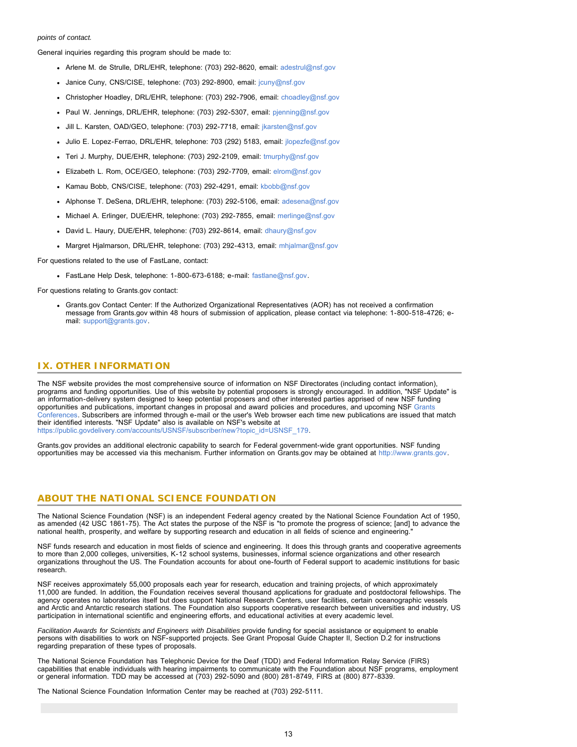#### *points of contact.*

General inquiries regarding this program should be made to:

- Arlene M. de Strulle, DRL/EHR, telephone: (703) 292-8620, email: [adestrul@nsf.gov](mailto:adestrul@nsf.gov)
- Janice Cuny, CNS/CISE, telephone: (703) 292-8900, email: [jcuny@nsf.gov](mailto:jcuny@nsf.gov)
- Christopher Hoadley, DRL/EHR, telephone: (703) 292-7906, email: [choadley@nsf.gov](mailto:choadley@nsf.gov)
- Paul W. Jennings, DRL/EHR, telephone: (703) 292-5307, email: [pjenning@nsf.gov](mailto:pjenning@nsf.gov)
- Jill L. Karsten, OAD/GEO, telephone: (703) 292-7718, email: [jkarsten@nsf.gov](mailto:jkarsten@nsf.gov)
- Julio E. Lopez-Ferrao, DRL/EHR, telephone: 703 (292) 5183, email: [jlopezfe@nsf.gov](mailto:jlopezfe@nsf.gov)
- Teri J. Murphy, DUE/EHR, telephone: (703) 292-2109, email: [tmurphy@nsf.gov](mailto:tmurphy@nsf.gov)
- Elizabeth L. Rom, OCE/GEO, telephone: (703) 292-7709, email: [elrom@nsf.gov](mailto:elrom@nsf.gov)
- Kamau Bobb, CNS/CISE, telephone: (703) 292-4291, email: [kbobb@nsf.gov](mailto:kbobb@nsf.gov)
- Alphonse T. DeSena, DRL/EHR, telephone: (703) 292-5106, email: [adesena@nsf.gov](mailto:adesena@nsf.gov)
- Michael A. Erlinger, DUE/EHR, telephone: (703) 292-7855, email: [merlinge@nsf.gov](mailto:merlinge@nsf.gov)
- David L. Haury, DUE/EHR, telephone: (703) 292-8614, email: [dhaury@nsf.gov](mailto:dhaury@nsf.gov)
- Margret Hjalmarson, DRL/EHR, telephone: (703) 292-4313, email: [mhjalmar@nsf.gov](mailto:mhjalmar@nsf.gov)

For questions related to the use of FastLane, contact:

FastLane Help Desk, telephone: 1-800-673-6188; e-mail: [fastlane@nsf.gov.](mailto:fastlane@nsf.gov)

For questions relating to Grants.gov contact:

Grants.gov Contact Center: If the Authorized Organizational Representatives (AOR) has not received a confirmation message from Grants.gov within 48 hours of submission of application, please contact via telephone: 1-800-518-4726; email: [support@grants.gov.](mailto:support@grants.gov)

# <span id="page-12-0"></span>**IX. OTHER INFORMATION**

The NSF website provides the most comprehensive source of information on NSF Directorates (including contact information), programs and funding opportunities. Use of this website by potential proposers is strongly encouraged. In addition, "NSF Update" is an information-delivery system designed to keep potential proposers and other interested parties apprised of new NSF funding opportunities and publications, important changes in proposal and award policies and procedures, and upcoming NSF [Grants](http://www.nsf.gov/bfa/dias/policy/outreach.jsp) [Conferences.](http://www.nsf.gov/bfa/dias/policy/outreach.jsp) Subscribers are informed through e-mail or the user's Web browser each time new publications are issued that match their identified interests. "NSF Update" also is available on NSF's website at [https://public.govdelivery.com/accounts/USNSF/subscriber/new?topic\\_id=USNSF\\_179.](http://www.nsf.gov/cgi-bin/good-bye?https://public.govdelivery.com/accounts/USNSF/subscriber/new?topic_id=USNSF_179)

Grants.gov provides an additional electronic capability to search for Federal government-wide grant opportunities. NSF funding opportunities may be accessed via this mechanism. Further information on Grants.gov may be obtained at [http://www.grants.gov.](http://www.grants.gov/)

# **ABOUT THE NATIONAL SCIENCE FOUNDATION**

The National Science Foundation (NSF) is an independent Federal agency created by the National Science Foundation Act of 1950, as amended (42 USC 1861-75). The Act states the purpose of the NSF is "to promote the progress of science; [and] to advance the national health, prosperity, and welfare by supporting research and education in all fields of science and engineering."

NSF funds research and education in most fields of science and engineering. It does this through grants and cooperative agreements to more than 2,000 colleges, universities, K-12 school systems, businesses, informal science organizations and other research organizations throughout the US. The Foundation accounts for about one-fourth of Federal support to academic institutions for basic research.

NSF receives approximately 55,000 proposals each year for research, education and training projects, of which approximately 11,000 are funded. In addition, the Foundation receives several thousand applications for graduate and postdoctoral fellowships. The agency operates no laboratories itself but does support National Research Centers, user facilities, certain oceanographic vessels and Arctic and Antarctic research stations. The Foundation also supports cooperative research between universities and industry, US participation in international scientific and engineering efforts, and educational activities at every academic level.

*Facilitation Awards for Scientists and Engineers with Disabilities* provide funding for special assistance or equipment to enable persons with disabilities to work on NSF-supported projects. See Grant Proposal Guide Chapter II, Section D.2 for instructions regarding preparation of these types of proposals.

The National Science Foundation has Telephonic Device for the Deaf (TDD) and Federal Information Relay Service (FIRS) capabilities that enable individuals with hearing impairments to communicate with the Foundation about NSF programs, employment or general information. TDD may be accessed at (703) 292-5090 and (800) 281-8749, FIRS at (800) 877-8339.

The National Science Foundation Information Center may be reached at (703) 292-5111.